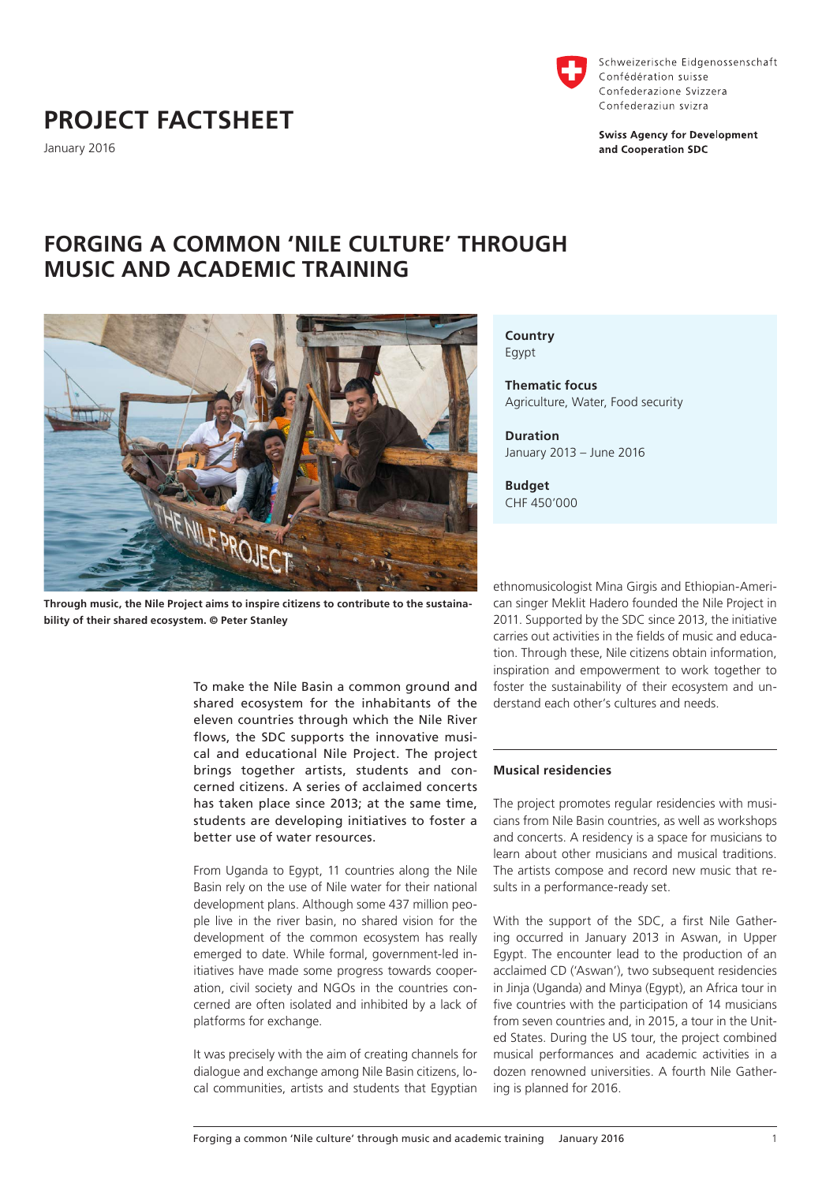# **PROJECT FACTSHEET**

January 2016



Schweizerische Eidgenossenschaft Confédération suisse Confederazione Svizzera Confederaziun svizra

**Swiss Agency for Development** and Cooperation SDC

## **FORGING A COMMON 'NILE CULTURE' THROUGH MUSIC AND ACADEMIC TRAINING**



**Through music, the Nile Project aims to inspire citizens to contribute to the sustainability of their shared ecosystem. © Peter Stanley**

To make the Nile Basin a common ground and shared ecosystem for the inhabitants of the eleven countries through which the Nile River flows, the SDC supports the innovative musical and educational Nile Project. The project brings together artists, students and concerned citizens. A series of acclaimed concerts has taken place since 2013; at the same time, students are developing initiatives to foster a better use of water resources.

From Uganda to Egypt, 11 countries along the Nile Basin rely on the use of Nile water for their national development plans. Although some 437 million people live in the river basin, no shared vision for the development of the common ecosystem has really emerged to date. While formal, government-led initiatives have made some progress towards cooperation, civil society and NGOs in the countries concerned are often isolated and inhibited by a lack of platforms for exchange.

It was precisely with the aim of creating channels for dialogue and exchange among Nile Basin citizens, local communities, artists and students that Egyptian **Country**  Egypt

**Thematic focus** Agriculture, Water, Food security

**Duration** January 2013 – June 2016

**Budget** CHF 450'000

ethnomusicologist Mina Girgis and Ethiopian-American singer Meklit Hadero founded the Nile Project in 2011. Supported by the SDC since 2013, the initiative carries out activities in the fields of music and education. Through these, Nile citizens obtain information, inspiration and empowerment to work together to foster the sustainability of their ecosystem and understand each other's cultures and needs.

### **Musical residencies**

The project promotes regular residencies with musicians from Nile Basin countries, as well as workshops and concerts. A residency is a space for musicians to learn about other musicians and musical traditions. The artists compose and record new music that results in a performance-ready set.

With the support of the SDC, a first Nile Gathering occurred in January 2013 in Aswan, in Upper Egypt. The encounter lead to the production of an acclaimed CD ('Aswan'), two subsequent residencies in Jinja (Uganda) and Minya (Egypt), an Africa tour in five countries with the participation of 14 musicians from seven countries and, in 2015, a tour in the United States. During the US tour, the project combined musical performances and academic activities in a dozen renowned universities. A fourth Nile Gathering is planned for 2016.